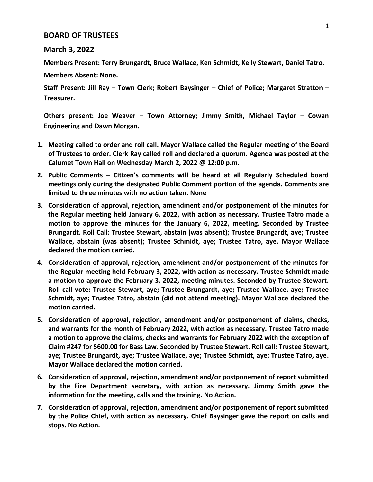## **BOARD OF TRUSTEES**

## **March 3, 2022**

**Members Present: Terry Brungardt, Bruce Wallace, Ken Schmidt, Kelly Stewart, Daniel Tatro.**

**Members Absent: None.**

**Staff Present: Jill Ray – Town Clerk; Robert Baysinger – Chief of Police; Margaret Stratton – Treasurer.**

**Others present: Joe Weaver – Town Attorney; Jimmy Smith, Michael Taylor – Cowan Engineering and Dawn Morgan.**

- **1. Meeting called to order and roll call. Mayor Wallace called the Regular meeting of the Board of Trustees to order. Clerk Ray called roll and declared a quorum. Agenda was posted at the Calumet Town Hall on Wednesday March 2, 2022 @ 12:00 p.m.**
- **2. Public Comments – Citizen's comments will be heard at all Regularly Scheduled board meetings only during the designated Public Comment portion of the agenda. Comments are limited to three minutes with no action taken. None**
- **3. Consideration of approval, rejection, amendment and/or postponement of the minutes for the Regular meeting held January 6, 2022, with action as necessary. Trustee Tatro made a motion to approve the minutes for the January 6, 2022, meeting. Seconded by Trustee Brungardt. Roll Call: Trustee Stewart, abstain (was absent); Trustee Brungardt, aye; Trustee Wallace, abstain (was absent); Trustee Schmidt, aye; Trustee Tatro, aye. Mayor Wallace declared the motion carried.**
- **4. Consideration of approval, rejection, amendment and/or postponement of the minutes for the Regular meeting held February 3, 2022, with action as necessary. Trustee Schmidt made a motion to approve the February 3, 2022, meeting minutes. Seconded by Trustee Stewart. Roll call vote: Trustee Stewart, aye; Trustee Brungardt, aye; Trustee Wallace, aye; Trustee Schmidt, aye; Trustee Tatro, abstain (did not attend meeting). Mayor Wallace declared the motion carried.**
- **5. Consideration of approval, rejection, amendment and/or postponement of claims, checks, and warrants for the month of February 2022, with action as necessary. Trustee Tatro made a motion to approve the claims, checks and warrants for February 2022 with the exception of Claim #247 for \$600.00 for Bass Law. Seconded by Trustee Stewart. Roll call: Trustee Stewart, aye; Trustee Brungardt, aye; Trustee Wallace, aye; Trustee Schmidt, aye; Trustee Tatro, aye. Mayor Wallace declared the motion carried.**
- **6. Consideration of approval, rejection, amendment and/or postponement of report submitted by the Fire Department secretary, with action as necessary. Jimmy Smith gave the information for the meeting, calls and the training. No Action.**
- **7. Consideration of approval, rejection, amendment and/or postponement of report submitted by the Police Chief, with action as necessary. Chief Baysinger gave the report on calls and stops. No Action.**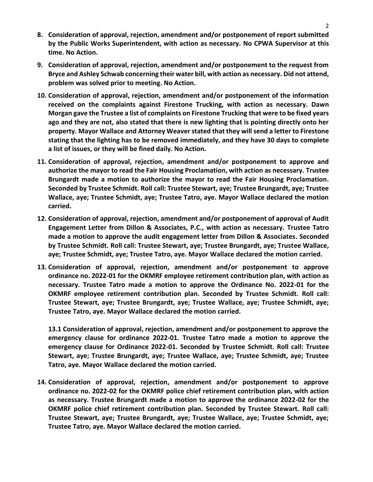- **8. Consideration of approval, rejection, amendment and/or postponement of report submitted by the Public Works Superintendent, with action as necessary. No CPWA Supervisor at this time. No Action.**
- **9. Consideration of approval, rejection, amendment and/or postponement to the request from Bryce and Ashley Schwab concerning their water bill, with action as necessary. Did not attend, problem was solved prior to meeting. No Action.**
- **10. Consideration of approval, rejection, amendment and/or postponement of the information received on the complaints against Firestone Trucking, with action as necessary. Dawn Morgan gave the Trustee a list of complaints on Firestone Trucking that were to be fixed years ago and they are not, also stated that there is new lighting that is pointing directly onto her property. Mayor Wallace and Attorney Weaver stated that they will send a letter to Firestone stating that the lighting has to be removed immediately, and they have 30 days to complete a list of issues, or they will be fined daily. No Action.**
- **11. Consideration of approval, rejection, amendment and/or postponement to approve and authorize the mayor to read the Fair Housing Proclamation, with action as necessary. Trustee Brungardt made a motion to authorize the mayor to read the Fair Housing Proclamation. Seconded by Trustee Schmidt. Roll call: Trustee Stewart, aye; Trustee Brungardt, aye; Trustee Wallace, aye; Trustee Schmidt, aye; Trustee Tatro, aye. Mayor Wallace declared the motion carried.**
- **12. Consideration of approval, rejection, amendment and/or postponement of approval of Audit Engagement Letter from Dillon & Associates, P.C., with action as necessary. Trustee Tatro made a motion to approve the audit engagement letter from Dillon & Associates. Seconded by Trustee Schmidt. Roll call: Trustee Stewart, aye; Trustee Brungardt, aye; Trustee Wallace, aye; Trustee Schmidt, aye; Trustee Tatro, aye. Mayor Wallace declared the motion carried.**
- **13. Consideration of approval, rejection, amendment and/or postponement to approve ordinance no. 2022-01 for the OKMRF employee retirement contribution plan, with action as necessary. Trustee Tatro made a motion to approve the Ordinance No. 2022-01 for the OKMRF employee retirement contribution plan. Seconded by Trustee Schmidt. Roll call: Trustee Stewart, aye; Trustee Brungardt, aye; Trustee Wallace, aye; Trustee Schmidt, aye; Trustee Tatro, aye. Mayor Wallace declared the motion carried.**

**13.1 Consideration of approval, rejection, amendment and/or postponement to approve the emergency clause for ordinance 2022-01. Trustee Tatro made a motion to approve the emergency clause for Ordinance 2022-01. Seconded by Trustee Schmidt. Roll call: Trustee Stewart, aye; Trustee Brungardt, aye; Trustee Wallace, aye; Trustee Schmidt, aye; Trustee Tatro, aye. Mayor Wallace declared the motion carried.**

**14. Consideration of approval, rejection, amendment and/or postponement to approve ordinance no. 2022-02 for the OKMRF police chief retirement contribution plan, with action as necessary. Trustee Brungardt made a motion to approve the ordinance 2022-02 for the OKMRF police chief retirement contribution plan. Seconded by Trustee Stewart. Roll call: Trustee Stewart, aye; Trustee Brungardt, aye; Trustee Wallace, aye; Trustee Schmidt, aye; Trustee Tatro, aye. Mayor Wallace declared the motion carried.**